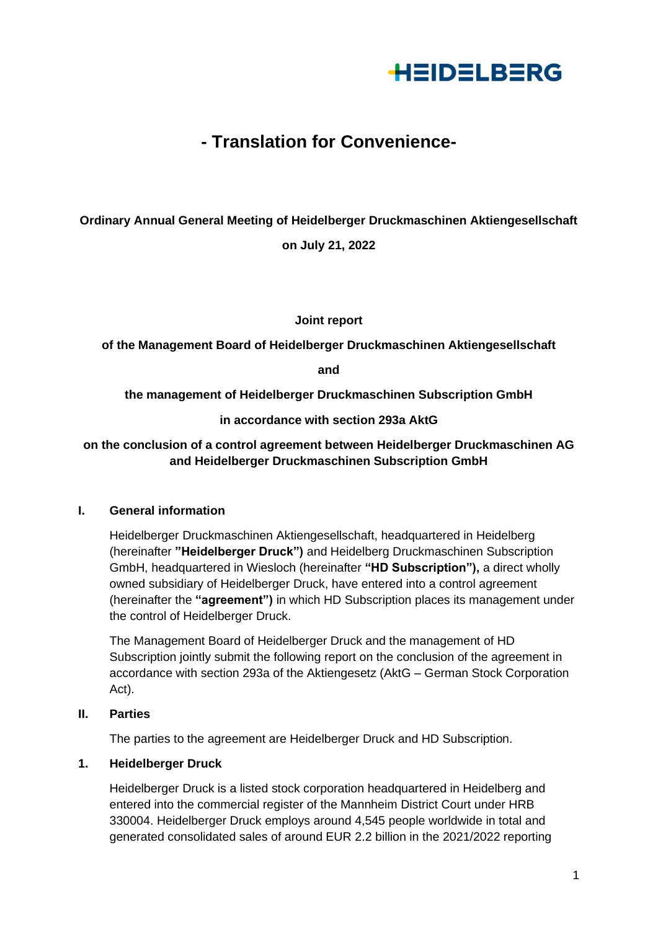

# **- Translation for Convenience-**

# **Ordinary Annual General Meeting of Heidelberger Druckmaschinen Aktiengesellschaft on July 21, 2022**

**Joint report**

**of the Management Board of Heidelberger Druckmaschinen Aktiengesellschaft**

**and**

**the management of Heidelberger Druckmaschinen Subscription GmbH**

**in accordance with section 293a AktG**

## **on the conclusion of a control agreement between Heidelberger Druckmaschinen AG and Heidelberger Druckmaschinen Subscription GmbH**

### **I. General information**

Heidelberger Druckmaschinen Aktiengesellschaft, headquartered in Heidelberg (hereinafter **"Heidelberger Druck")** and Heidelberg Druckmaschinen Subscription GmbH, headquartered in Wiesloch (hereinafter **"HD Subscription"),** a direct wholly owned subsidiary of Heidelberger Druck, have entered into a control agreement (hereinafter the **"agreement")** in which HD Subscription places its management under the control of Heidelberger Druck.

The Management Board of Heidelberger Druck and the management of HD Subscription jointly submit the following report on the conclusion of the agreement in accordance with section 293a of the Aktiengesetz (AktG – German Stock Corporation Act).

## **II. Parties**

The parties to the agreement are Heidelberger Druck and HD Subscription.

### **1. Heidelberger Druck**

Heidelberger Druck is a listed stock corporation headquartered in Heidelberg and entered into the commercial register of the Mannheim District Court under HRB 330004. Heidelberger Druck employs around 4,545 people worldwide in total and generated consolidated sales of around EUR 2.2 billion in the 2021/2022 reporting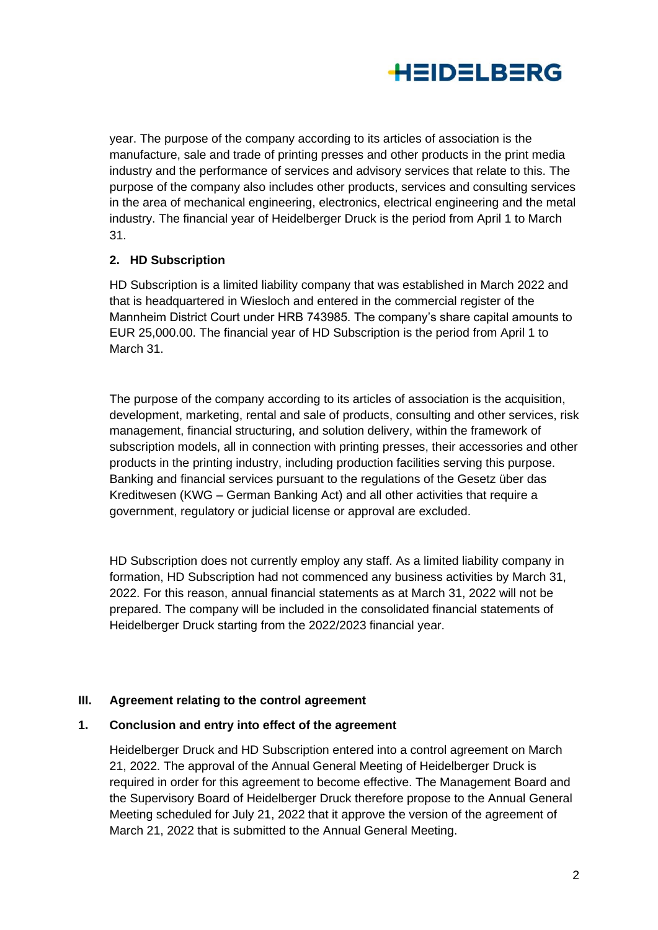

year. The purpose of the company according to its articles of association is the manufacture, sale and trade of printing presses and other products in the print media industry and the performance of services and advisory services that relate to this. The purpose of the company also includes other products, services and consulting services in the area of mechanical engineering, electronics, electrical engineering and the metal industry. The financial year of Heidelberger Druck is the period from April 1 to March 31.

## **2. HD Subscription**

HD Subscription is a limited liability company that was established in March 2022 and that is headquartered in Wiesloch and entered in the commercial register of the Mannheim District Court under HRB 743985. The company's share capital amounts to EUR 25,000.00. The financial year of HD Subscription is the period from April 1 to March 31.

The purpose of the company according to its articles of association is the acquisition, development, marketing, rental and sale of products, consulting and other services, risk management, financial structuring, and solution delivery, within the framework of subscription models, all in connection with printing presses, their accessories and other products in the printing industry, including production facilities serving this purpose. Banking and financial services pursuant to the regulations of the Gesetz über das Kreditwesen (KWG – German Banking Act) and all other activities that require a government, regulatory or judicial license or approval are excluded.

HD Subscription does not currently employ any staff. As a limited liability company in formation, HD Subscription had not commenced any business activities by March 31, 2022. For this reason, annual financial statements as at March 31, 2022 will not be prepared. The company will be included in the consolidated financial statements of Heidelberger Druck starting from the 2022/2023 financial year.

### **III. Agreement relating to the control agreement**

### **1. Conclusion and entry into effect of the agreement**

Heidelberger Druck and HD Subscription entered into a control agreement on March 21, 2022. The approval of the Annual General Meeting of Heidelberger Druck is required in order for this agreement to become effective. The Management Board and the Supervisory Board of Heidelberger Druck therefore propose to the Annual General Meeting scheduled for July 21, 2022 that it approve the version of the agreement of March 21, 2022 that is submitted to the Annual General Meeting.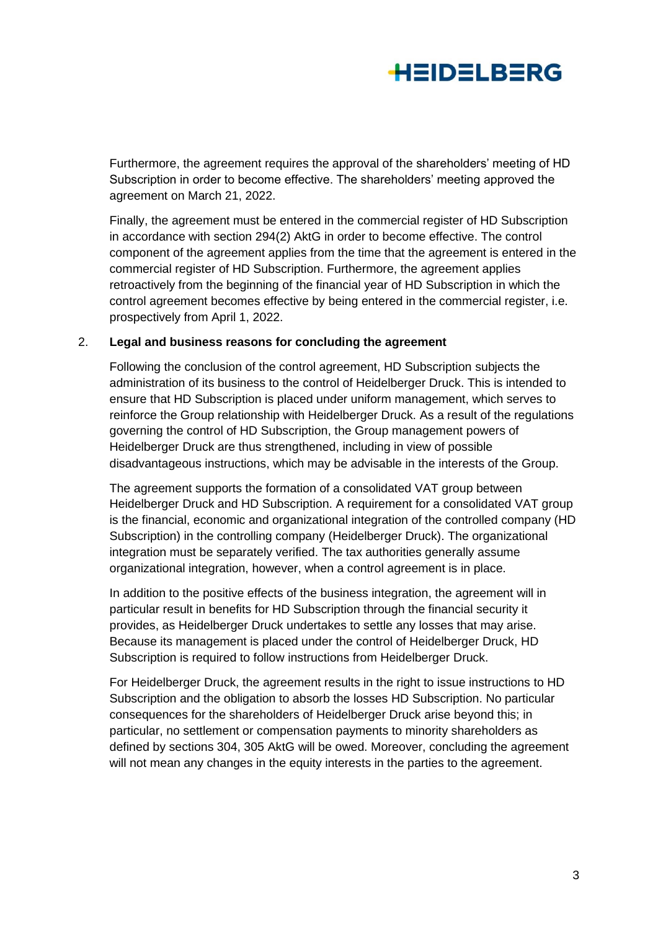

Furthermore, the agreement requires the approval of the shareholders' meeting of HD Subscription in order to become effective. The shareholders' meeting approved the agreement on March 21, 2022.

Finally, the agreement must be entered in the commercial register of HD Subscription in accordance with section 294(2) AktG in order to become effective. The control component of the agreement applies from the time that the agreement is entered in the commercial register of HD Subscription. Furthermore, the agreement applies retroactively from the beginning of the financial year of HD Subscription in which the control agreement becomes effective by being entered in the commercial register, i.e. prospectively from April 1, 2022.

#### 2. **Legal and business reasons for concluding the agreement**

Following the conclusion of the control agreement, HD Subscription subjects the administration of its business to the control of Heidelberger Druck. This is intended to ensure that HD Subscription is placed under uniform management, which serves to reinforce the Group relationship with Heidelberger Druck. As a result of the regulations governing the control of HD Subscription, the Group management powers of Heidelberger Druck are thus strengthened, including in view of possible disadvantageous instructions, which may be advisable in the interests of the Group.

The agreement supports the formation of a consolidated VAT group between Heidelberger Druck and HD Subscription. A requirement for a consolidated VAT group is the financial, economic and organizational integration of the controlled company (HD Subscription) in the controlling company (Heidelberger Druck). The organizational integration must be separately verified. The tax authorities generally assume organizational integration, however, when a control agreement is in place.

In addition to the positive effects of the business integration, the agreement will in particular result in benefits for HD Subscription through the financial security it provides, as Heidelberger Druck undertakes to settle any losses that may arise. Because its management is placed under the control of Heidelberger Druck, HD Subscription is required to follow instructions from Heidelberger Druck.

For Heidelberger Druck, the agreement results in the right to issue instructions to HD Subscription and the obligation to absorb the losses HD Subscription. No particular consequences for the shareholders of Heidelberger Druck arise beyond this; in particular, no settlement or compensation payments to minority shareholders as defined by sections 304, 305 AktG will be owed. Moreover, concluding the agreement will not mean any changes in the equity interests in the parties to the agreement.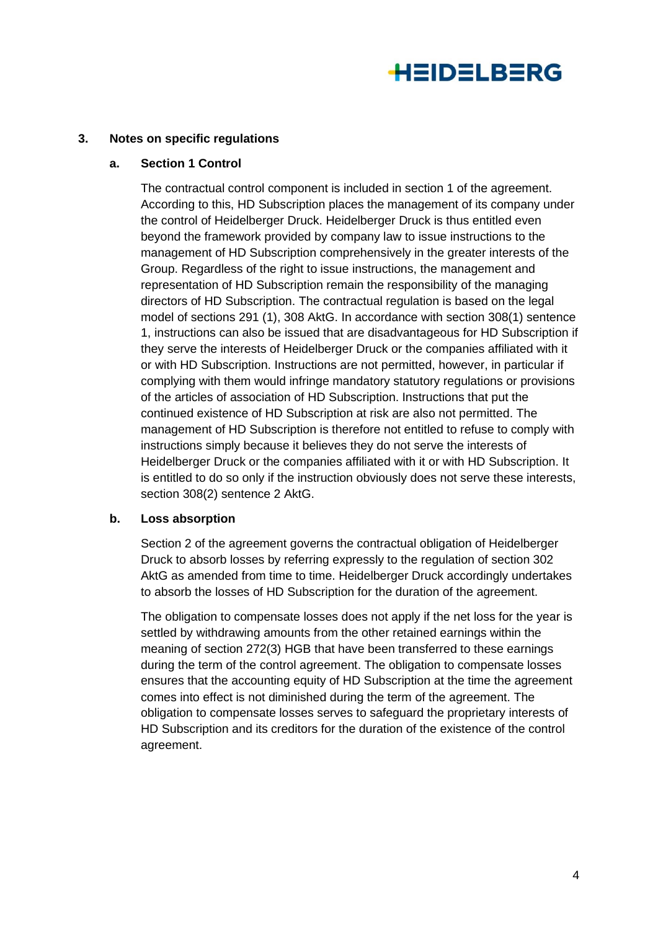

#### **3. Notes on specific regulations**

#### **a. Section 1 Control**

The contractual control component is included in section 1 of the agreement. According to this, HD Subscription places the management of its company under the control of Heidelberger Druck. Heidelberger Druck is thus entitled even beyond the framework provided by company law to issue instructions to the management of HD Subscription comprehensively in the greater interests of the Group. Regardless of the right to issue instructions, the management and representation of HD Subscription remain the responsibility of the managing directors of HD Subscription. The contractual regulation is based on the legal model of sections 291 (1), 308 AktG. In accordance with section 308(1) sentence 1, instructions can also be issued that are disadvantageous for HD Subscription if they serve the interests of Heidelberger Druck or the companies affiliated with it or with HD Subscription. Instructions are not permitted, however, in particular if complying with them would infringe mandatory statutory regulations or provisions of the articles of association of HD Subscription. Instructions that put the continued existence of HD Subscription at risk are also not permitted. The management of HD Subscription is therefore not entitled to refuse to comply with instructions simply because it believes they do not serve the interests of Heidelberger Druck or the companies affiliated with it or with HD Subscription. It is entitled to do so only if the instruction obviously does not serve these interests, section 308(2) sentence 2 AktG.

#### **b. Loss absorption**

Section 2 of the agreement governs the contractual obligation of Heidelberger Druck to absorb losses by referring expressly to the regulation of section 302 AktG as amended from time to time. Heidelberger Druck accordingly undertakes to absorb the losses of HD Subscription for the duration of the agreement.

The obligation to compensate losses does not apply if the net loss for the year is settled by withdrawing amounts from the other retained earnings within the meaning of section 272(3) HGB that have been transferred to these earnings during the term of the control agreement. The obligation to compensate losses ensures that the accounting equity of HD Subscription at the time the agreement comes into effect is not diminished during the term of the agreement. The obligation to compensate losses serves to safeguard the proprietary interests of HD Subscription and its creditors for the duration of the existence of the control agreement.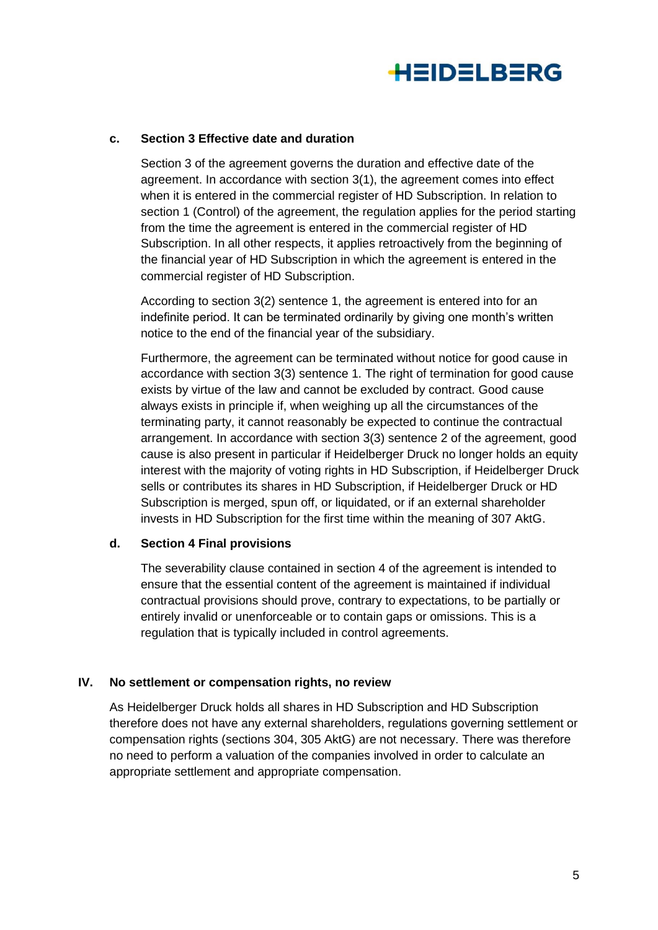

#### **c. Section 3 Effective date and duration**

Section 3 of the agreement governs the duration and effective date of the agreement. In accordance with section 3(1), the agreement comes into effect when it is entered in the commercial register of HD Subscription. In relation to section 1 (Control) of the agreement, the regulation applies for the period starting from the time the agreement is entered in the commercial register of HD Subscription. In all other respects, it applies retroactively from the beginning of the financial year of HD Subscription in which the agreement is entered in the commercial register of HD Subscription.

According to section 3(2) sentence 1, the agreement is entered into for an indefinite period. It can be terminated ordinarily by giving one month's written notice to the end of the financial year of the subsidiary.

Furthermore, the agreement can be terminated without notice for good cause in accordance with section 3(3) sentence 1. The right of termination for good cause exists by virtue of the law and cannot be excluded by contract. Good cause always exists in principle if, when weighing up all the circumstances of the terminating party, it cannot reasonably be expected to continue the contractual arrangement. In accordance with section 3(3) sentence 2 of the agreement, good cause is also present in particular if Heidelberger Druck no longer holds an equity interest with the majority of voting rights in HD Subscription, if Heidelberger Druck sells or contributes its shares in HD Subscription, if Heidelberger Druck or HD Subscription is merged, spun off, or liquidated, or if an external shareholder invests in HD Subscription for the first time within the meaning of 307 AktG.

#### **d. Section 4 Final provisions**

The severability clause contained in section 4 of the agreement is intended to ensure that the essential content of the agreement is maintained if individual contractual provisions should prove, contrary to expectations, to be partially or entirely invalid or unenforceable or to contain gaps or omissions. This is a regulation that is typically included in control agreements.

### **IV. No settlement or compensation rights, no review**

As Heidelberger Druck holds all shares in HD Subscription and HD Subscription therefore does not have any external shareholders, regulations governing settlement or compensation rights (sections 304, 305 AktG) are not necessary. There was therefore no need to perform a valuation of the companies involved in order to calculate an appropriate settlement and appropriate compensation.